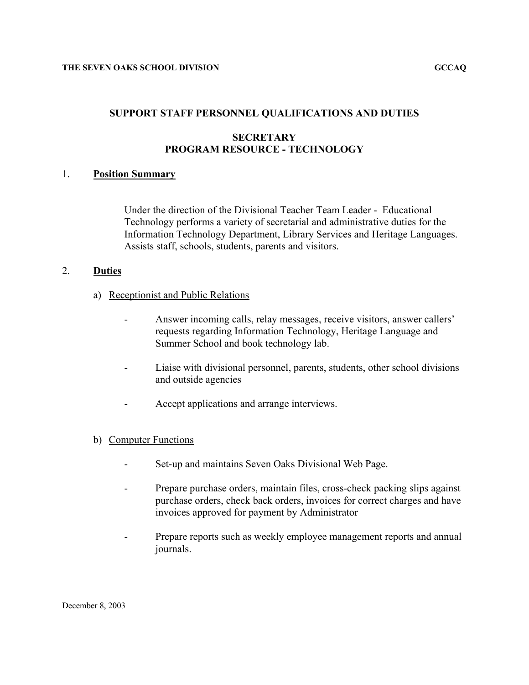## **SUPPORT STAFF PERSONNEL QUALIFICATIONS AND DUTIES**

## **SECRETARY PROGRAM RESOURCE - TECHNOLOGY**

## 1. **Position Summary**

Under the direction of the Divisional Teacher Team Leader - Educational Technology performs a variety of secretarial and administrative duties for the Information Technology Department, Library Services and Heritage Languages. Assists staff, schools, students, parents and visitors.

## 2. **Duties**

- a) Receptionist and Public Relations
	- Answer incoming calls, relay messages, receive visitors, answer callers' requests regarding Information Technology, Heritage Language and Summer School and book technology lab.
	- Liaise with divisional personnel, parents, students, other school divisions and outside agencies
	- Accept applications and arrange interviews.

### b) Computer Functions

- Set-up and maintains Seven Oaks Divisional Web Page.
- Prepare purchase orders, maintain files, cross-check packing slips against purchase orders, check back orders, invoices for correct charges and have invoices approved for payment by Administrator
- Prepare reports such as weekly employee management reports and annual journals.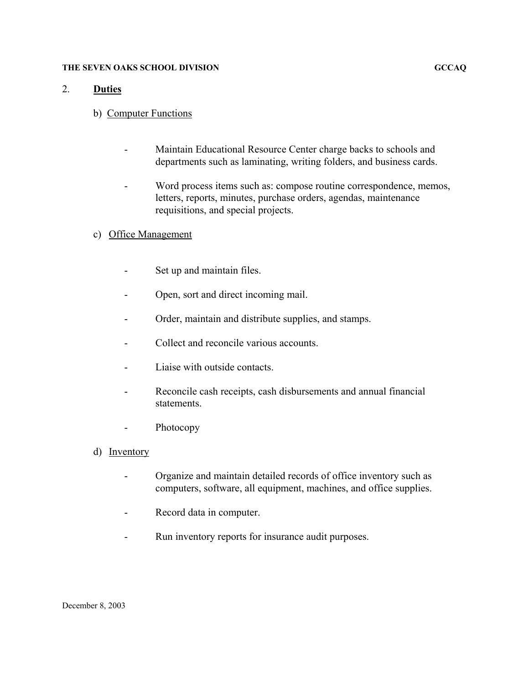#### **THE SEVEN OAKS SCHOOL DIVISION GCCAQ**

### 2. **Duties**

- b) Computer Functions
	- Maintain Educational Resource Center charge backs to schools and departments such as laminating, writing folders, and business cards.
	- Word process items such as: compose routine correspondence, memos, letters, reports, minutes, purchase orders, agendas, maintenance requisitions, and special projects.
- c) Office Management
	- Set up and maintain files.
	- Open, sort and direct incoming mail.
	- Order, maintain and distribute supplies, and stamps.
	- Collect and reconcile various accounts.
	- Liaise with outside contacts.
	- Reconcile cash receipts, cash disbursements and annual financial statements.
	- Photocopy
- d) Inventory
	- Organize and maintain detailed records of office inventory such as computers, software, all equipment, machines, and office supplies.
	- Record data in computer.
	- Run inventory reports for insurance audit purposes.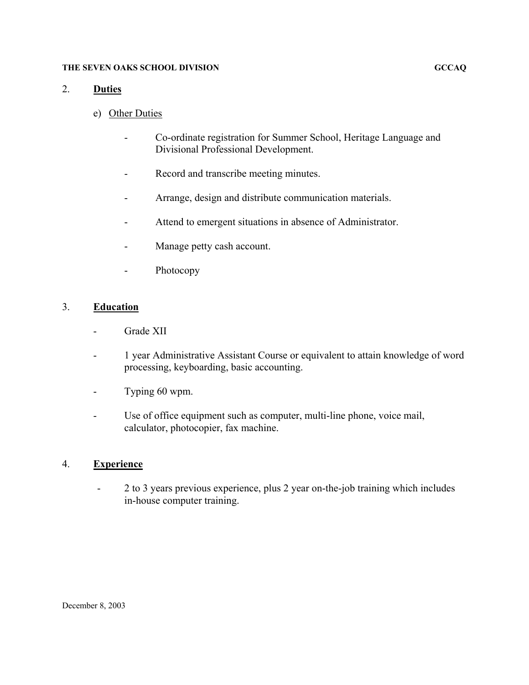#### **THE SEVEN OAKS SCHOOL DIVISION GCCAQ**

### 2. **Duties**

- e) Other Duties
	- Co-ordinate registration for Summer School, Heritage Language and Divisional Professional Development.
	- Record and transcribe meeting minutes.
	- Arrange, design and distribute communication materials.
	- Attend to emergent situations in absence of Administrator.
	- Manage petty cash account.
	- Photocopy

## 3. **Education**

- Grade XII
- 1 year Administrative Assistant Course or equivalent to attain knowledge of word processing, keyboarding, basic accounting.
- Typing 60 wpm.
- Use of office equipment such as computer, multi-line phone, voice mail, calculator, photocopier, fax machine.

### 4. **Experience**

- 2 to 3 years previous experience, plus 2 year on-the-job training which includes in-house computer training.